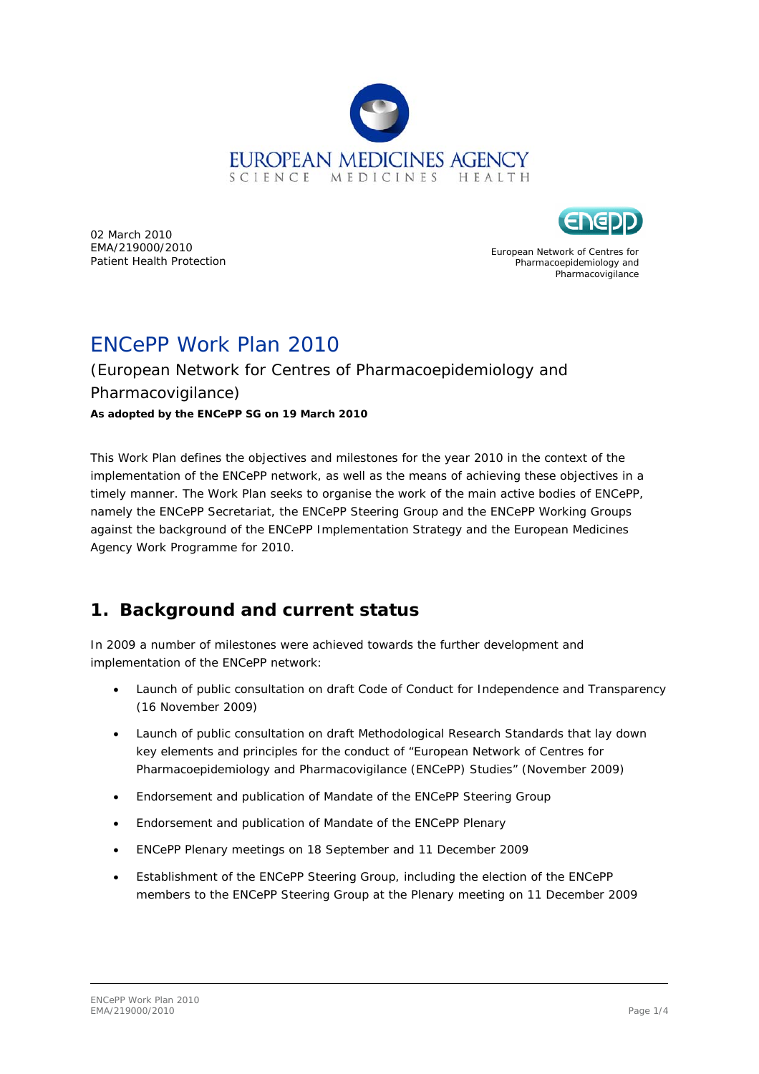

02 March 2010 EMA/219000/2010 Patient Health Protection

European Network of Centres for Pharmacoepidemiology and Pharmacovigilance

# ENCePP Work Plan 2010

#### (European Network for Centres of Pharmacoepidemiology and Pharmacovigilance) *As adopted by the ENCePP SG on 19 March 2010*

This Work Plan defines the objectives and milestones for the year 2010 in the context of the implementation of the ENCePP network, as well as the means of achieving these objectives in a timely manner. The Work Plan seeks to organise the work of the main active bodies of ENCePP, namely the ENCePP Secretariat, the ENCePP Steering Group and the ENCePP Working Groups against the background of the *ENCePP Implementation Strategy* and the European Medicines Agency Work Programme for 2010.

## **1. Background and current status**

In 2009 a number of milestones were achieved towards the further development and implementation of the ENCePP network:

- Launch of public consultation on draft Code of Conduct for Independence and Transparency (16 November 2009)
- Launch of public consultation on draft Methodological Research Standards that lay down key elements and principles for the conduct of "European Network of Centres for Pharmacoepidemiology and Pharmacovigilance (ENCePP) Studies" (November 2009)
- Endorsement and publication of Mandate of the ENCePP Steering Group
- Endorsement and publication of Mandate of the ENCePP Plenary
- ENCePP Plenary meetings on 18 September and 11 December 2009
- Establishment of the ENCePP Steering Group, including the election of the ENCePP members to the ENCePP Steering Group at the Plenary meeting on 11 December 2009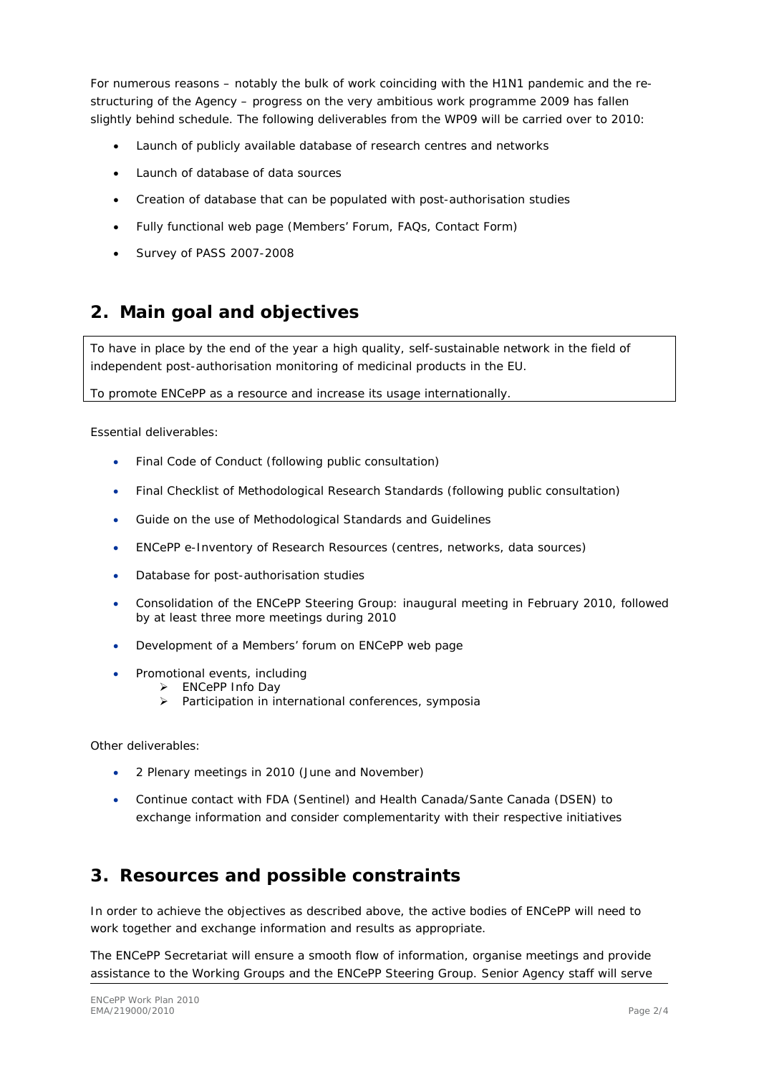For numerous reasons – notably the bulk of work coinciding with the H1N1 pandemic and the restructuring of the Agency – progress on the very ambitious work programme 2009 has fallen slightly behind schedule. The following deliverables from the WP09 will be carried over to 2010:

- Launch of publicly available database of research centres and networks
- Launch of database of data sources
- Creation of database that can be populated with post-authorisation studies
- Fully functional web page (Members' Forum, FAQs, Contact Form)
- Survey of PASS 2007-2008

# **2. Main goal and objectives**

To have in place by the end of the year a high quality, self-sustainable network in the field of independent post-authorisation monitoring of medicinal products in the EU.

To promote ENCePP as a resource and increase its usage internationally.

#### *Essential deliverables:*

- Final Code of Conduct (following public consultation)
- Final Checklist of Methodological Research Standards (following public consultation)
- Guide on the use of Methodological Standards and Guidelines
- ENCePP e-Inventory of Research Resources (centres, networks, data sources)
- Database for post-authorisation studies
- Consolidation of the ENCePP Steering Group: inaugural meeting in February 2010, followed by at least three more meetings during 2010
- Development of a Members' forum on ENCePP web page
- Promotional events, including
	- ¾ ENCePP Info Day
		- ¾ Participation in international conferences, symposia

*Other deliverables:* 

- 2 Plenary meetings in 2010 (June and November)
- Continue contact with FDA (Sentinel) and Health Canada/Sante Canada (DSEN) to exchange information and consider complementarity with their respective initiatives

#### **3. Resources and possible constraints**

In order to achieve the objectives as described above, the active bodies of ENCePP will need to work together and exchange information and results as appropriate.

The ENCePP Secretariat will ensure a smooth flow of information, organise meetings and provide assistance to the Working Groups and the ENCePP Steering Group. Senior Agency staff will serve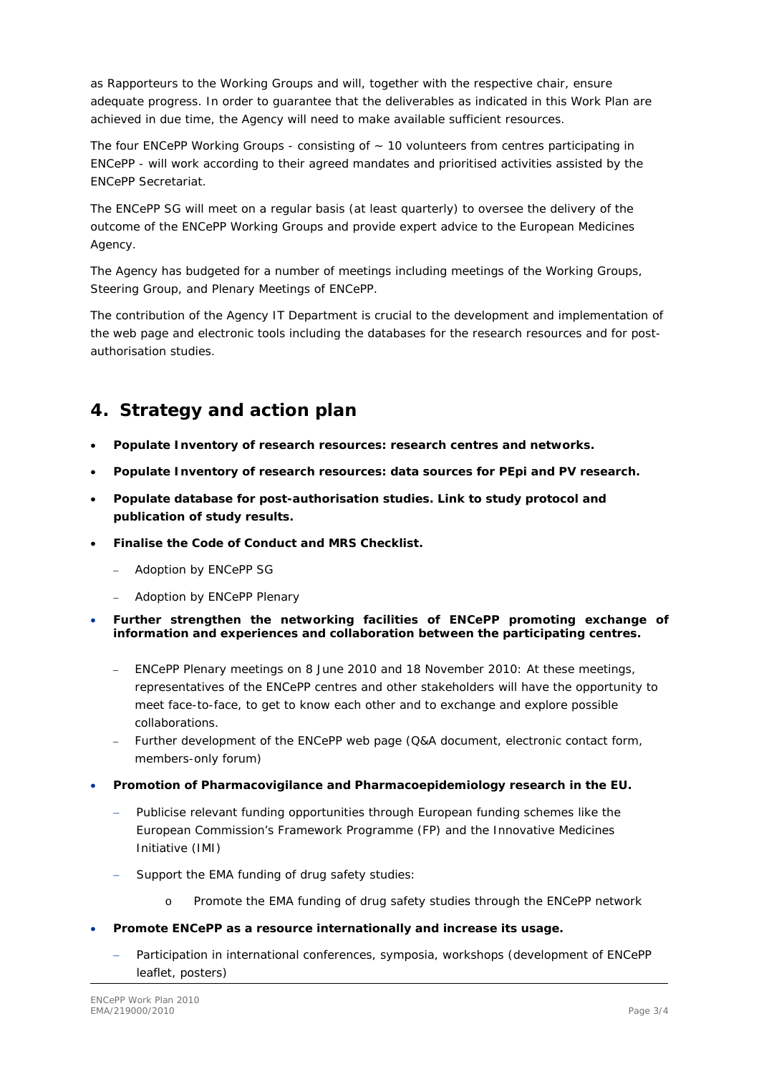as Rapporteurs to the Working Groups and will, together with the respective chair, ensure adequate progress. In order to guarantee that the deliverables as indicated in this Work Plan are achieved in due time, the Agency will need to make available sufficient resources.

The four ENCePP Working Groups - consisting of  $\sim$  10 volunteers from centres participating in ENCePP - will work according to their agreed mandates and prioritised activities assisted by the ENCePP Secretariat.

The ENCePP SG will meet on a regular basis (at least quarterly) to oversee the delivery of the outcome of the ENCePP Working Groups and provide expert advice to the European Medicines Agency.

The Agency has budgeted for a number of meetings including meetings of the Working Groups, Steering Group, and Plenary Meetings of ENCePP.

The contribution of the Agency IT Department is crucial to the development and implementation of the web page and electronic tools including the databases for the research resources and for postauthorisation studies.

## **4. Strategy and action plan**

- **Populate Inventory of research resources: research centres and networks.**
- **Populate Inventory of research resources: data sources for PEpi and PV research.**
- **Populate database for post-authorisation studies. Link to study protocol and publication of study results.**
- **Finalise the Code of Conduct and MRS Checklist.** 
	- Adoption by ENCePP SG
	- Adoption by ENCePP Plenary
- **Further strengthen the networking facilities of ENCePP promoting exchange of information and experiences and collaboration between the participating centres.** 
	- ENCePP Plenary meetings on 8 June 2010 and 18 November 2010: At these meetings, representatives of the ENCePP centres and other stakeholders will have the opportunity to meet face-to-face, to get to know each other and to exchange and explore possible collaborations.
	- Further development of the ENCePP web page (Q&A document, electronic contact form, members-only forum)
- **Promotion of Pharmacovigilance and Pharmacoepidemiology research in the EU.** 
	- Publicise relevant funding opportunities through European funding schemes like the European Commission's Framework Programme (FP) and the Innovative Medicines Initiative (IMI)
	- Support the EMA funding of drug safety studies:
		- o Promote the EMA funding of drug safety studies through the ENCePP network
- **Promote ENCePP as a resource internationally and increase its usage.** 
	- − Participation in international conferences, symposia, workshops (development of ENCePP leaflet, posters)